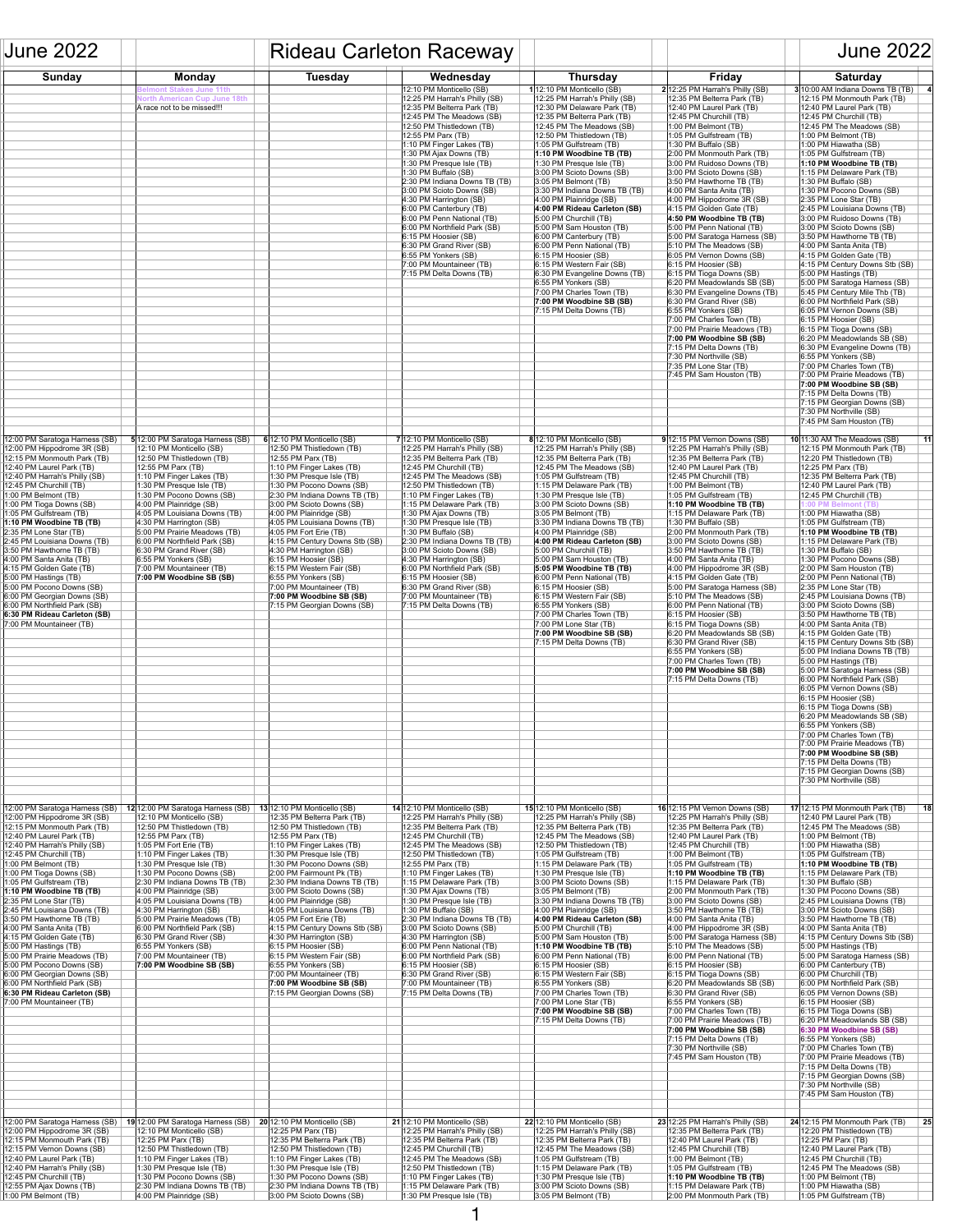| <b>June 2022</b>                                                                                                                                                                                                                                                                                                                                                                                                                                                                                                                                                                                                                                                      |                                                                                                                                                                                                                                                                                                                                                                                                                                                                                                                                                         | <b>Rideau Carleton Raceway</b>                                                                                                                                                                                                                                                                                                                                                                                                                                                                                                                                                                                    |                                                                                                                                                                                                                                                                                                                                                                                                                                                                                                                                                                                                                                 |                                                                                                                                                                                                                                                                                                                                                                                                                                                                                                                                                                                                                                                                                                                                                                       |                                                                                                                                                                                                                                                                                                                                                                                                                                                                                                                                                                                                                                                                                                                                                                                                                                                                                                                                                                                                            | <b>June 2022</b>                                                                                                                                                                                                                                                                                                                                                                                                                                                                                                                                                                                                                                                                                                                                                                                                                                                                                                                                                                                                                                                                                                                                            |
|-----------------------------------------------------------------------------------------------------------------------------------------------------------------------------------------------------------------------------------------------------------------------------------------------------------------------------------------------------------------------------------------------------------------------------------------------------------------------------------------------------------------------------------------------------------------------------------------------------------------------------------------------------------------------|---------------------------------------------------------------------------------------------------------------------------------------------------------------------------------------------------------------------------------------------------------------------------------------------------------------------------------------------------------------------------------------------------------------------------------------------------------------------------------------------------------------------------------------------------------|-------------------------------------------------------------------------------------------------------------------------------------------------------------------------------------------------------------------------------------------------------------------------------------------------------------------------------------------------------------------------------------------------------------------------------------------------------------------------------------------------------------------------------------------------------------------------------------------------------------------|---------------------------------------------------------------------------------------------------------------------------------------------------------------------------------------------------------------------------------------------------------------------------------------------------------------------------------------------------------------------------------------------------------------------------------------------------------------------------------------------------------------------------------------------------------------------------------------------------------------------------------|-----------------------------------------------------------------------------------------------------------------------------------------------------------------------------------------------------------------------------------------------------------------------------------------------------------------------------------------------------------------------------------------------------------------------------------------------------------------------------------------------------------------------------------------------------------------------------------------------------------------------------------------------------------------------------------------------------------------------------------------------------------------------|------------------------------------------------------------------------------------------------------------------------------------------------------------------------------------------------------------------------------------------------------------------------------------------------------------------------------------------------------------------------------------------------------------------------------------------------------------------------------------------------------------------------------------------------------------------------------------------------------------------------------------------------------------------------------------------------------------------------------------------------------------------------------------------------------------------------------------------------------------------------------------------------------------------------------------------------------------------------------------------------------------|-------------------------------------------------------------------------------------------------------------------------------------------------------------------------------------------------------------------------------------------------------------------------------------------------------------------------------------------------------------------------------------------------------------------------------------------------------------------------------------------------------------------------------------------------------------------------------------------------------------------------------------------------------------------------------------------------------------------------------------------------------------------------------------------------------------------------------------------------------------------------------------------------------------------------------------------------------------------------------------------------------------------------------------------------------------------------------------------------------------------------------------------------------------|
| <b>Sunday</b>                                                                                                                                                                                                                                                                                                                                                                                                                                                                                                                                                                                                                                                         | <b>Monday</b>                                                                                                                                                                                                                                                                                                                                                                                                                                                                                                                                           | <b>Tuesday</b>                                                                                                                                                                                                                                                                                                                                                                                                                                                                                                                                                                                                    | Wednesday                                                                                                                                                                                                                                                                                                                                                                                                                                                                                                                                                                                                                       | <b>Thursday</b>                                                                                                                                                                                                                                                                                                                                                                                                                                                                                                                                                                                                                                                                                                                                                       | <b>Friday</b>                                                                                                                                                                                                                                                                                                                                                                                                                                                                                                                                                                                                                                                                                                                                                                                                                                                                                                                                                                                              | <b>Saturday</b>                                                                                                                                                                                                                                                                                                                                                                                                                                                                                                                                                                                                                                                                                                                                                                                                                                                                                                                                                                                                                                                                                                                                             |
|                                                                                                                                                                                                                                                                                                                                                                                                                                                                                                                                                                                                                                                                       | <b>Belmont Stakes June 11th</b><br><b>North American Cup June 18th</b><br>A race not to be missed!!!                                                                                                                                                                                                                                                                                                                                                                                                                                                    |                                                                                                                                                                                                                                                                                                                                                                                                                                                                                                                                                                                                                   | 12:10 PM Monticello (SB)<br>12:25 PM Harrah's Philly (SB)<br>12:35 PM Belterra Park (TB)<br>12:45 PM The Meadows (SB)<br>12:50 PM Thistledown (TB)<br>12:55 PM Parx (TB)<br>1:10 PM Finger Lakes (TB)<br>1:30 PM Ajax Downs (TB)<br>1:30 PM Presque Isle (TB)<br>1:30 PM Buffalo (SB)<br>$ 2:30$ PM Indiana Downs TB (TB)<br>3:00 PM Scioto Downs (SB)<br>$ 4:30$ PM Harrington (SB)<br>6:00 PM Canterbury (TB)<br>$ 6:00$ PM Penn National (TB)<br>6:00 PM Northfield Park (SB)<br>$ 6:15$ PM Hoosier (SB)<br>$ 6:30$ PM Grand River (SB)<br>$ 6:55$ PM Yonkers $(SB)$<br>7:00 PM Mountaineer (TB)<br>7:15 PM Delta Downs (TB) | $ 12:10$ PM Monticello (SB)<br>12:25 PM Harrah's Philly (SB)<br>12:30 PM Delaware Park (TB)<br>12:35 PM Belterra Park (TB)<br>12:45 PM The Meadows (SB)<br>12:50 PM Thistledown (TB)<br>1:05 PM Gulfstream (TB)<br>1:10 PM Woodbine TB (TB)<br>1:30 PM Presque Isle (TB)<br>3:00 PM Scioto Downs (SB)<br>$ 3:05$ PM Belmont (TB)<br>3:30 PM Indiana Downs TB (TB)<br>4:00 PM Plainridge (SB)<br>4:00 PM Rideau Carleton (SB)<br>$ 5:00$ PM Churchill (TB)<br>$ 5:00$ PM Sam Houston (TB)<br>$ 6:00$ PM Canterbury (TB)<br>$ 6:00$ PM Penn National (TB)<br>$ 6:15$ PM Hoosier (SB)<br>$ 6:15$ PM Western Fair (SB)<br>6:30 PM Evangeline Downs (TB)<br>$ 6:55$ PM Yonkers $(SB)$<br>7:00 PM Charles Town (TB)<br>7:00 PM Woodbine SB (SB)<br>7:15 PM Delta Downs (TB) | $2 12:25$ PM Harrah's Philly (SB)<br>12:35 PM Belterra Park (TB)<br>$ 12:40$ PM Laurel Park (TB)<br>$ 12:45$ PM Churchill (TB)<br>1:00 PM Belmont (TB)<br>1:05 PM Gulfstream (TB)<br>$ 1:30$ PM Buffalo (SB)<br>2:00 PM Monmouth Park (TB)<br>3:00 PM Ruidoso Downs (TB)<br>3:00 PM Scioto Downs (SB)<br>$ 3:50$ PM Hawthorne TB (TB)<br>$ 4:00$ PM Santa Anita (TB)<br>$ 4:00$ PM Hippodrome 3R (SB)<br>$ 4:15$ PM Golden Gate (TB)<br>$ 4:50$ PM Woodbine TB (TB)<br>5:00 PM Penn National (TB)<br>5:00 PM Saratoga Harness (SB)<br>5:10 PM The Meadows (SB)<br>6:05 PM Vernon Downs (SB)<br>$ 6:15$ PM Hoosier (SB)<br>6:15 PM Tioga Downs (SB)<br>$ 6:20$ PM Meadowlands SB $(SB)$<br>6:30 PM Evangeline Downs (TB)<br>$ 6:30$ PM Grand River $(SB)$<br>$ 6:55$ PM Yonkers $(SB)$<br>[7:00 PM Charles Town (TB)<br>7:00 PM Prairie Meadows (TB)<br>7:00 PM Woodbine SB (SB)<br>$ 7:15$ PM Delta Downs (TB)<br>$ 7:30$ PM Northville $(SB)$<br>$ 7:35$ PM Lone Star (TB)<br>$ 7:45$ PM Sam Houston (TB) | 3 10:00 AM Indiana Downs TB (TB)<br>$ 12:15$ PM Monmouth Park (TB)<br>$ 12:40$ PM Laurel Park (TB)<br>12:45 PM Churchill (TB)<br>12:45 PM The Meadows (SB)<br>$1:00$ PM Belmont (TB)<br>1:00 PM Hiawatha (SB)<br>1:05 PM Gulfstream (TB)<br>1:10 PM Woodbine TB (TB)<br>1:15 PM Delaware Park (TB)<br>$ 1:30$ PM Buffalo (SB)<br>1:30 PM Pocono Downs (SB)<br>$ 2:35$ PM Lone Star (TB)<br>2:45 PM Louisiana Downs (TB)<br>3:00 PM Ruidoso Downs (TB)<br>3:00 PM Scioto Downs (SB)<br>$ 3:50$ PM Hawthorne TB (TB)<br>$ 4:00$ PM Santa Anita (TB)<br>$ 4:15$ PM Golden Gate (TB)<br>$ 4:15$ PM Century Downs Stb (SB)<br>$ 5:00$ PM Hastings (TB)<br>5:00 PM Saratoga Harness (SB)<br>5:45 PM Century Mile Thb (TB)<br>6:00 PM Northfield Park (SB)<br>6:05 PM Vernon Downs (SB)<br>$ 6:15$ PM Hoosier (SB)<br>$ 6:15$ PM Tioga Downs (SB)<br>$ 6:20$ PM Meadowlands SB $(SB)$<br>6:30 PM Evangeline Downs (TB)<br>$6:55$ PM Yonkers $(SB)$<br>7:00 PM Charles Town (TB)<br>7:00 PM Prairie Meadows (TB)<br>7:00 PM Woodbine SB (SB)<br>7:15 PM Delta Downs (TB)<br>7:15 PM Georgian Downs (SB)<br>$ 7:30$ PM Northville (SB)                               |
| 12:00 PM Saratoga Harness (SB)                                                                                                                                                                                                                                                                                                                                                                                                                                                                                                                                                                                                                                        | 5 12:00 PM Saratoga Harness (SB)                                                                                                                                                                                                                                                                                                                                                                                                                                                                                                                        | 6 12:10 PM Monticello (SB)                                                                                                                                                                                                                                                                                                                                                                                                                                                                                                                                                                                        | $7 12:10$ PM Monticello (SB)                                                                                                                                                                                                                                                                                                                                                                                                                                                                                                                                                                                                    | 8 12:10 PM Monticello (SB)                                                                                                                                                                                                                                                                                                                                                                                                                                                                                                                                                                                                                                                                                                                                            | $9 12:15$ PM Vernon Downs (SB)                                                                                                                                                                                                                                                                                                                                                                                                                                                                                                                                                                                                                                                                                                                                                                                                                                                                                                                                                                             | 7:45 PM Sam Houston (TB)<br><b>10</b>  11:30 AM The Meadows (SB)<br> 11                                                                                                                                                                                                                                                                                                                                                                                                                                                                                                                                                                                                                                                                                                                                                                                                                                                                                                                                                                                                                                                                                     |
| 12:00 PM Hippodrome 3R (SB)<br> 12:15 PM Monmouth Park (TB)  <br>[12:40 PM Laurel Park (TB)<br> 12:40 PM Harrah's Philly (SB)  <br> 12:45 PM Churchill (TB)<br>[1:00 PM Belmont (TB)  <br>1:00 PM Tioga Downs (SB)<br>1:05 PM Gulfstream (TB)<br>$ 1:10$ PM Woodbine TB (TB)<br>$ 2:35$ PM Lone Star (TB)<br>2:45 PM Louisiana Downs (TB)<br>$ 3:50$ PM Hawthorne TB (TB)<br>$ 4:00$ PM Santa Anita (TB)<br>$ 4:15$ PM Golden Gate (TB)<br>5:00 PM Hastings (TB)<br>5:00 PM Pocono Downs (SB)<br>6:00 PM Georgian Downs (SB)<br>$ 6:00$ PM Northfield Park $(SB)$<br>6:30 PM Rideau Carleton (SB)<br>7:00 PM Mountaineer (TB)                                         | $ 12:10 \text{ PM Monticello (SB)} $<br>$ 12:50$ PM Thistledown (TB)<br>$ 12:55$ PM Parx $(TB)$<br>1:10 PM Finger Lakes (TB)<br> 1:30 PM Presque Isle (TB) <br>1:30 PM Pocono Downs (SB)<br>$ 4:00$ PM Plainridge (SB)<br>4:05 PM Louisiana Downs (TB)<br>$ 4:30$ PM Harrington (SB)<br>$ 5:00$ PM Prairie Meadows (TB)<br>6:00 PM Northfield Park (SB)<br>$ 6:30$ PM Grand River $(SB)$<br>$ 6:55$ PM Yonkers $(SB)$<br>$ 7:00$ PM Mountaineer (TB)<br>7:00 PM Woodbine SB (SB)                                                                        | 12:50 PM Thistledown (TB)<br>12:55 PM Parx (TB)  <br>I:10 PM Finger Lakes (TB) I<br>1:30 PM Presque Isle (TB)_<br>1:30 PM Pocono Downs (SB)<br> 2:30 PM Indiana Downs TB (TB)  <br>3:00 PM Scioto Downs (SB)<br>4:00 PM Plainridge (SB)<br>4:05 PM Louisiana Downs (TB)<br>$ 4:05$ PM Fort Erie (TB)<br>$ 4:15$ PM Century Downs Stb (SB)<br>4:30 PM Harrington (SB)<br>6:15 PM Hoosier (SB)<br>6:15 PM Western Fair (SB)<br>6:55 PM Yonkers (SB).<br>7:00 PM Mountaineer (TB)<br>7:00 PM Woodbine SB (SB)<br>7:15 PM Georgian Downs (SB)                                                                         | 12:25 PM Harrah's Philly (SB)  <br> 12:35 PM Belterra Park (TB)  <br>12:45 PM Churchill (TB)<br>12:45 PM The Meadows (SB)<br> 12:50 PM Thistledown (TB) <br>1:10 PM Finger Lakes (TB)<br>1:15 PM Delaware Park (TB)<br>1:30 PM Ajax Downs (TB)<br>$(1:30$ PM Presque Isle $(TB)$<br>1:30 PM Buffalo (SB)  <br>2:30 PM Indiana Downs TB (TB)<br>3:00 PM Scioto Downs (SB)<br>$ 4:30$ PM Harrington (SB)<br>$ 6:00$ PM Northfield Park (SB)<br> 6:15 PM Hoosier (SB)  <br>6:30 PM Grand River (SB)<br>7:00 PM Mountaineer (TB)<br>7:15 PM Delta Downs (TB)                                                                        | 12:25 PM Harrah's Philly (SB)<br>12:35 PM Belterra Park (TB)<br>12:45 PM The Meadows (SB)<br>1:05 PM Gulfstream (TB)<br>I:15 PM Delaware Park (TB)<br>1:30 PM Presque Isle (TB)_<br>3:00 PM Scioto Downs (SB)<br>3:05 PM Belmont (TB)<br>3:30 PM Indiana Downs TB (TB)<br>4:00 PM Plainridge (SB)<br>4:00 PM Rideau Carleton (SB)<br>$ 5:00$ PM Churchill $(TB)$<br>$ 5:00$ PM Sam Houston (TB)<br>$ 5:05$ PM Woodbine TB (TB)<br>6:00 PM Penn National (TB)<br>6:15 PM Hoosier (SB)<br>$ 6:15$ PM Western Fair (SB)<br>$6:55$ PM Yonkers (SB)<br>7:00 PM Charles Town (TB)<br>$ 7:00$ PM Lone Star (TB)<br>7:00 PM Woodbine SB (SB)<br>7:15 PM Delta Downs (TB)                                                                                                      | 12:25 PM Harrah's Philly (SB)  <br>12:35 PM Belterra Park (TB)<br>$12:40$ PM Laurel Park (TB)<br>12:45 PM Churchill (TB)<br>1:00 PM Belmont (TB)<br>1:05 PM Gulfstream (TB)<br>1:10 PM Woodbine TB (TB)<br>$(1:15$ PM Delaware Park (TB)<br> 1:30 PM Buffalo (SB) <br>$ 2:00$ PM Monmouth Park (TB)<br>$ 3:00$ PM Scioto Downs $(SB)$<br>$ 3:50$ PM Hawthorne TB (TB)<br>$ 4:00$ PM Santa Anita (TB)<br>$ 4:00$ PM Hippodrome 3R (SB)<br>$ 4:15$ PM Golden Gate $(TB)$<br>[5:00 PM Saratoga Harness (SB)<br>[5:10 PM The Meadows (SB)<br>6:00 PM Penn National (TB)<br>$ 6:15$ PM Hoosier (SB)<br>$ 6:15$ PM Tioga Downs (SB)<br>$ 6:20$ PM Meadowlands SB (SB)<br>$ 6:30$ PM Grand River (SB)<br>$ 6:55$ PM Yonkers $(SB)$<br>[7:00 PM Charles Town (TB)<br>7:00 PM Woodbine SB (SB)<br>7:15 PM Delta Downs (TB)                                                                                                                                                                                          | 12:15 PM Monmouth Park (TB)<br>12:20 PM Thistledown (TB)<br> 12:25 PM Parx (TB)  <br> 12:35 PM Belterra Park (TB)  <br> 12:40 PM Laurel Park (TB) <br>12:45 PM Churchill (TB)<br>1:00 PM Belmont (TB)<br> 1:00 PM Hiawatha (SB)<br>1:05 PM Gulfstream (TB)<br>1:10 PM Woodbine TB (TB)<br>1:15 PM Delaware Park (TB)<br>1:30 PM Buffalo (SB)<br> 1:30 PM Pocono Downs (SB)  <br>$ 2:00$ PM Sam Houston (TB)<br>$ 2:00$ PM Penn National (TB)<br>$ 2:35$ PM Lone Star (TB)<br>$ 2:45$ PM Louisiana Downs (TB)<br>3:00 PM Scioto Downs (SB)<br>$ 3:50$ PM Hawthorne TB (TB)<br>$ 4:00$ PM Santa Anita (TB)<br>$ 4:15$ PM Golden Gate (TB)<br>$ 4:15$ PM Century Downs Stb (SB)<br>$ 5:00$ PM Indiana Downs TB (TB)<br>$ 5:00$ PM Hastings (TB)<br>5:00 PM Saratoga Harness (SB)<br>6:00 PM Northfield Park (SB)<br>$ 6:05$ PM Vernon Downs $(SB)$<br>$ 6:15$ PM Hoosier (SB)<br>$ 6:15$ PM Tioga Downs (SB)<br>$ 6:20$ PM Meadowlands SB (SB)<br>$ 6:55$ PM Yonkers (SB)<br>$ 7:00$ PM Charles Town (TB)<br>7:00 PM Prairie Meadows (TB)<br>7:00 PM Woodbine SB (SB)<br>7:15 PM Delta Downs (TB)<br>7:15 PM Georgian Downs (SB)<br>$ 7:30$ PM Northville (SB) |
| 12:00 PM Saratoga Harness (SB)                                                                                                                                                                                                                                                                                                                                                                                                                                                                                                                                                                                                                                        | 12 12:00 PM Saratoga Harness (SB)                                                                                                                                                                                                                                                                                                                                                                                                                                                                                                                       | 13 12:10 PM Monticello (SB)                                                                                                                                                                                                                                                                                                                                                                                                                                                                                                                                                                                       | $14$  12:10 PM Monticello (SB)                                                                                                                                                                                                                                                                                                                                                                                                                                                                                                                                                                                                  | <b>15</b>  12:10 PM Monticello (SB)                                                                                                                                                                                                                                                                                                                                                                                                                                                                                                                                                                                                                                                                                                                                   | <b>16</b> 12:15 PM Vernon Downs (SB)                                                                                                                                                                                                                                                                                                                                                                                                                                                                                                                                                                                                                                                                                                                                                                                                                                                                                                                                                                       | $17$  12:15 PM Monmouth Park (TB)<br> 18                                                                                                                                                                                                                                                                                                                                                                                                                                                                                                                                                                                                                                                                                                                                                                                                                                                                                                                                                                                                                                                                                                                    |
| $ 12:00$ PM Hippodrome 3R $(SB)$<br> 12:15 PM Monmouth Park (TB)  <br>$ 12:40$ PM Laurel Park (TB)<br>[12:40 PM Harrah's Philly (SB)]<br>$ 12:45$ PM Churchill $(TB)$<br>1:00 PM Belmont (TB)<br>1:00 PM Tioga Downs (SB)<br>1:05 PM Gulfstream (TB)<br>$ 1:10$ PM Woodbine TB (TB)<br>$ 2:35$ PM Lone Star (TB)<br>2:45 PM Louisiana Downs (TB)<br>$ 3:50$ PM Hawthorne TB (TB)<br> 4:00 PM Santa Anita (TB) <br>$ 4:15$ PM Golden Gate (TB)<br>5:00 PM Hastings (TB)<br>[5:00 PM Prairie Meadows (TB)<br>5:00 PM Pocono Downs (SB)<br>6:00 PM Georgian Downs (SB)<br>$ 6:00$ PM Northfield Park (SB)<br>6:30 PM Rideau Carleton (SB)<br>$ 7:00$ PM Mountaineer (TB) | $ 12:10$ PM Monticello $(SB)$<br>$ 12:50$ PM Thistledown $(TB)$<br>$ 12:55$ PM Parx $(TB)$<br>$ 1:05$ PM Fort Erie (TB)<br>1:10 PM Finger Lakes (TB)<br> 1:30 PM Presque Isle (TB) <br> 1:30 PM Pocono Downs (SB) <br>$ 2:30$ PM Indiana Downs TB (TB)<br>$ 4:00$ PM Plainridge (SB)<br>$ 4:05$ PM Louisiana Downs (TB)<br>$ 4:30$ PM Harrington (SB)<br>$ 5:00$ PM Prairie Meadows (TB)<br>$ 6:00$ PM Northfield Park (SB)<br>$ 6:30$ PM Grand River $(SB)$<br>$ 6:55$ PM Yonkers $(SB)$<br>$ 7:00$ PM Mountaineer (TB)<br>$ 7:00$ PM Woodbine SB (SB) | 12:35 PM Belterra Park (TB)<br>12:50 PM Thistledown (TB)<br>12:55 PM Parx (TB)<br>1:10 PM Finger Lakes (TB) l<br>1:30 PM Presque Isle (TB)_<br>I∶30 PM Pocono Downs (SB) ∶<br>2:00 PM Fairmount Pk (TB)<br>$ 2:30$ PM Indiana Downs TB (TB)<br>3:00 PM Scioto Downs (SB)<br>$ 4:00$ PM Plainridge $(SB)$<br>$ 4:05$ PM Louisiana Downs (TB)<br>$ 4:05$ PM Fort Erie (TB)<br>$ 4:15$ PM Century Downs Stb $(SB)$<br>4:30 PM Harrington (SB)<br>$ 6:15$ PM Hoosier (SB)<br>6:15 PM Western Fair (SB)<br>6:55 PM Yonkers (SB)<br>7:00 PM Mountaineer (TB)<br>7:00 PM Woodbine SB (SB)<br>7:15 PM Georgian Downs (SB) | 12:25 PM Harrah's Philly (SB) <br> 12:35 PM Belterra Park (TB)  <br> 12:45 PM Churchill (TB)_<br>[12:45 PM The Meadows (SB)]<br> 12:50 PM Thistledown (TB) <br> 12:55 PM Parx (TB)  <br> 1:10 PM Finger Lakes (TB) <br>[1:15 PM Delaware Park (TB)<br> 1:30 PM Ajax Downs (TB)  <br> 1:30 PM Presque Isle (TB) <br> 1:30 PM Buffalo (SB)  <br> 2:30 PM Indiana Downs TB (TB)  <br> 3:00 PM Scioto Downs (SB)  <br>$ 4:30$ PM Harrington (SB)<br>6:00 PM Penn National (TB)<br>6:00 PM Northfield Park (SB)<br> 6:15 PM Hoosier (SB)  <br>6:30 PM Grand River (SB)<br>7:00 PM Mountaineer (TB)<br>7:15 PM Delta Downs (TB)       | 12:25 PM Harrah's Philly (SB)<br>12:35 PM Belterra Park (TB)<br>12:45 PM The Meadows (SB)<br>12:50 PM Thistledown (TB)<br>1:05 PM Gultstream (TB)<br>1:15 PM Delaware Park (TB)  <br>1:30 PM Presque Isle (TB)<br>$ 3:00$ PM Scioto Downs (SB)<br> 3:05 PM Belmont (TB)  <br>3:30 PM Indiana Downs TB (TB)<br>4:00 PM Plainridge (SB)<br>4:00 PM Rideau Carleton (SB)<br>$ 5:00$ PM Churchill $(TB)$<br>$ 5:00$ PM Sam Houston (TB)<br>1:10 PM Woodbine TB (TB)<br>$ 6:00$ PM Penn National (TB)<br>$ 6:15$ PM Hoosier (SB)<br>$ 6:15$ PM Western Fair (SB)<br>$6:55$ PM Yonkers (SB)<br>7:00 PM Charles Town (TB)<br>7:00 PM Lone Star (TB)<br>7:00 PM Woodbine SB (SB)<br>7:15 PM Delta Downs (TB)                                                                  | 12:25 PM Harrah's Philly (SB)  <br> 12:35 PM Belterra Park (TB) <br> 12:40 PM Laurel Park (TB) <br> 12:45 PM Churchill (TB)  <br> 1:00 PM Belmont (TB)  <br>1:05 PM Gulfstream (TB)<br> 1:10 PM Woodbine TB (TB) <br>$ 1:15$ PM Delaware Park (TB)<br>$ 2:00$ PM Monmouth Park (TB)<br>$ 3:00$ PM Scioto Downs $(SB)$<br>$ 3:50$ PM Hawthorne TB (TB)<br>$ 4:00$ PM Santa Anita (TB)<br>$ 4:00$ PM Hippodrome 3R (SB)<br>[5:00 PM Saratoga Harness (SB)<br>$ 5:10$ PM The Meadows $(SB)$<br>$ 6:00$ PM Penn National (TB)<br>$ 6:15$ PM Hoosier (SB)<br>6:15 PM Tioga Downs (SB)<br>$ 6:20$ PM Meadowlands SB $(SB)$<br>6:30 PM Grand River (SB)<br>$ 6:55$ PM Yonkers $(SB)$<br>[7:00 PM Charles Town (TB)<br>7:00 PM Prairie Meadows (TB)<br>7:00 PM Woodbine SB (SB)<br>7:15 PM Delta Downs (TB)<br>$ 7:30$ PM Northville $(SB)$<br>$ 7:45$ PM Sam Houston (TB)                                                                                                                                         | $ 12:40$ PM Laurel Park (TB)<br>$ 12:45$ PM The Meadows $(SB)$<br> 1:00 PM Belmont (TB) <br>1:00 PM Hiawatha (SB)<br>1:05 PM Gulfstream (TB)<br>1:10 PM Woodbine TB (TB)<br>1:15 PM Delaware Park (TB)<br> 1:30 PM Buffalo (SB)  <br>1:30 PM Pocono Downs (SB)<br>2:45 PM Louisiana Downs (TB)<br>$ 3:00$ PM Scioto Downs $(SB)$<br>$ 3:50$ PM Hawthorne TB (TB)<br> 4:00 PM Santa Anita (TB)<br>$ 4:15$ PM Century Downs Stb (SB)<br>5:00 PM Hastings (TB)<br>[5:00 PM Saratoga Harness (SB)<br>$ 6:00 \text{ PM Canterbury (TB)} $<br>$ 6:00$ PM Churchill $(TB)$<br>$ 6:00$ PM Northfield Park (SB)<br>6:05 PM Vernon Downs (SB)<br>$ 6:15$ PM Hoosier (SB)<br>6:15 PM Tioga Downs (SB)<br>$ 6:20$ PM Meadowlands SB $(SB)$<br>6:30 PM Woodbine SB (SB)<br>$ 6:55$ PM Yonkers $(SB)$<br>7:00 PM Charles Town (TB)<br>7:00 PM Prairie Meadows (TB)<br>7:15 PM Delta Downs (TB)<br>7:15 PM Georgian Downs (SB)<br>$ 7:30$ PM Northville (SB)<br>$ 7:45$ PM Sam Houston (TB)                                                                                                                                                                                |
| 12:00 PM Saratoga Harness (SB)<br>12:00 PM Hippodrome 3R (SB)<br>$ 12:15$ PM Monmouth Park (TB)                                                                                                                                                                                                                                                                                                                                                                                                                                                                                                                                                                       | 19 12:00 PM Saratoga Harness (SB)<br>12:10 PM Monticello (SB)<br>$ 12:25$ PM Parx (TB)                                                                                                                                                                                                                                                                                                                                                                                                                                                                  | $20 12:10$ PM Monticello (SB)<br>12:25 PM Parx (TB)<br>12:35 PM Belterra Park (TB)                                                                                                                                                                                                                                                                                                                                                                                                                                                                                                                                | $21$  12:10 PM Monticello (SB)<br>12:25 PM Harrah's Philly (SB)<br>12:35 PM Belterra Park (TB)                                                                                                                                                                                                                                                                                                                                                                                                                                                                                                                                  | $22 12:10$ PM Monticello (SB)<br>12:25 PM Harrah's Philly (SB)<br>12:35 PM Belterra Park (TB)                                                                                                                                                                                                                                                                                                                                                                                                                                                                                                                                                                                                                                                                         | $23 12:25$ PM Harrah's Philly (SB)<br>12:35 PM Belterra Park (TB)<br>$ 12:40$ PM Laurel Park (TB)                                                                                                                                                                                                                                                                                                                                                                                                                                                                                                                                                                                                                                                                                                                                                                                                                                                                                                          | $24$  12:15 PM Monmouth Park (TB)<br>25<br>12:20 PM Thistledown (TB)<br>$12:25$ PM Parx (TB)                                                                                                                                                                                                                                                                                                                                                                                                                                                                                                                                                                                                                                                                                                                                                                                                                                                                                                                                                                                                                                                                |
| 12:15 PM Vernon Downs (SB)<br>12:40 PM Laurel Park (TB)                                                                                                                                                                                                                                                                                                                                                                                                                                                                                                                                                                                                               | [12:50 PM Thistledown (TB)<br>1:10 PM Finger Lakes (TB)                                                                                                                                                                                                                                                                                                                                                                                                                                                                                                 | 12:50 PM Thistledown (TB)<br>1:10 PM Finger Lakes (TB)                                                                                                                                                                                                                                                                                                                                                                                                                                                                                                                                                            | 12:45 PM Churchill (TB)<br>12:45 PM The Meadows (SB)                                                                                                                                                                                                                                                                                                                                                                                                                                                                                                                                                                            | 12:45 PM The Meadows (SB)<br>1:05 PM Gulfstream (TB)                                                                                                                                                                                                                                                                                                                                                                                                                                                                                                                                                                                                                                                                                                                  | $ 12:45$ PM Churchill (TB)<br>1:00 PM Belmont (TB)                                                                                                                                                                                                                                                                                                                                                                                                                                                                                                                                                                                                                                                                                                                                                                                                                                                                                                                                                         | 12:40 PM Laurel Park (TB)<br>12:45 PM Churchill (TB)                                                                                                                                                                                                                                                                                                                                                                                                                                                                                                                                                                                                                                                                                                                                                                                                                                                                                                                                                                                                                                                                                                        |
| 12:40 PM Harrah's Philly (SB)<br>$ 12:45$ PM Churchill (TB)<br>12:55 PM Ajax Downs (TB)<br>$\vert$ 1:00 PM Belmont (TB)                                                                                                                                                                                                                                                                                                                                                                                                                                                                                                                                               | $1:30$ PM Presque Isle (TB)<br>1:30 PM Pocono Downs (SB)<br>$ 2:30$ PM Indiana Downs TB (TB)<br>$ 4:00$ PM Plainridge (SB)                                                                                                                                                                                                                                                                                                                                                                                                                              | 1:30 PM Presque Isle (TB)<br>1:30 PM Pocono Downs (SB)<br>2:30 PM Indiana Downs TB (TB)<br>$ 3:00$ PM Scioto Downs (SB)                                                                                                                                                                                                                                                                                                                                                                                                                                                                                           | 12:50 PM Thistledown (TB)<br>1:10 PM Finger Lakes (TB)<br>1:15 PM Delaware Park (TB)<br>$ 1:30$ PM Presque Isle (TB)                                                                                                                                                                                                                                                                                                                                                                                                                                                                                                            | 1:15 PM Delaware Park (TB)<br>1:30 PM Presque Isle (TB)<br>3:00 PM Scioto Downs (SB)<br>$ 3:05$ PM Belmont (TB)                                                                                                                                                                                                                                                                                                                                                                                                                                                                                                                                                                                                                                                       | $\vert$ 1:05 PM Gulfstream (TB)<br>1:10 PM Woodbine TB (TB)<br>1:15 PM Delaware Park (TB)<br>$ 2:00$ PM Monmouth Park (TB)                                                                                                                                                                                                                                                                                                                                                                                                                                                                                                                                                                                                                                                                                                                                                                                                                                                                                 | $12:45$ PM The Meadows (SB)<br>1:00 PM Belmont (TB)<br>1:00 PM Hiawatha (SB)<br>1:05 PM Gulfstream (TB)                                                                                                                                                                                                                                                                                                                                                                                                                                                                                                                                                                                                                                                                                                                                                                                                                                                                                                                                                                                                                                                     |

1